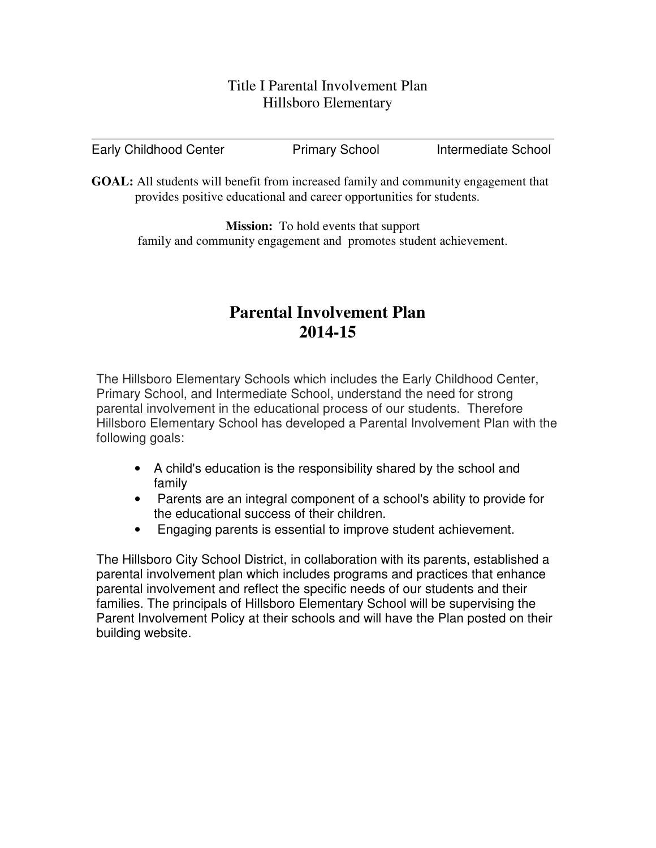## Title I Parental Involvement Plan Hillsboro Elementary

| <b>Early Childhood Center</b> | <b>Primary School</b> | Intermediate School |
|-------------------------------|-----------------------|---------------------|
|-------------------------------|-----------------------|---------------------|

**GOAL:** All students will benefit from increased family and community engagement that provides positive educational and career opportunities for students.

**Mission:** To hold events that support family and community engagement and promotes student achievement.

# **Parental Involvement Plan 2014-15**

The Hillsboro Elementary Schools which includes the Early Childhood Center, Primary School, and Intermediate School, understand the need for strong parental involvement in the educational process of our students. Therefore Hillsboro Elementary School has developed a Parental Involvement Plan with the following goals:

- A child's education is the responsibility shared by the school and family
- Parents are an integral component of a school's ability to provide for the educational success of their children.
- Engaging parents is essential to improve student achievement.

The Hillsboro City School District, in collaboration with its parents, established a parental involvement plan which includes programs and practices that enhance parental involvement and reflect the specific needs of our students and their families. The principals of Hillsboro Elementary School will be supervising the Parent Involvement Policy at their schools and will have the Plan posted on their building website.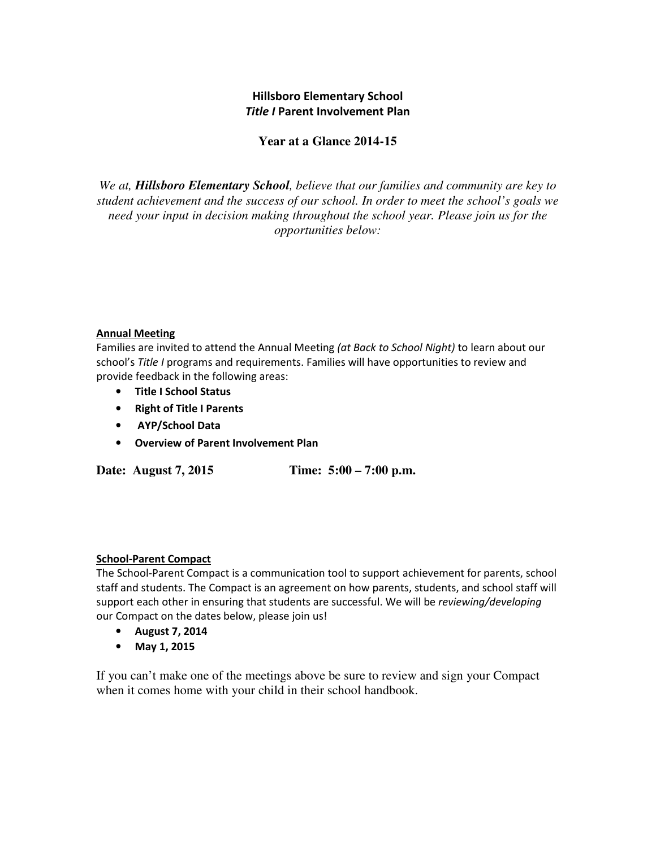### Hillsboro Elementary School Title I Parent Involvement Plan

## **Year at a Glance 2014-15**

*We at, Hillsboro Elementary School, believe that our families and community are key to student achievement and the success of our school. In order to meet the school's goals we need your input in decision making throughout the school year. Please join us for the opportunities below:* 

#### Annual Meeting

Families are invited to attend the Annual Meeting (at Back to School Night) to learn about our school's Title I programs and requirements. Families will have opportunities to review and provide feedback in the following areas:

- Title I School Status
- Right of Title I Parents
- AYP/School Data
- Overview of Parent Involvement Plan

**Date: August 7, 2015 Time: 5:00 – 7:00 p.m.** 

#### School-Parent Compact

The School-Parent Compact is a communication tool to support achievement for parents, school staff and students. The Compact is an agreement on how parents, students, and school staff will support each other in ensuring that students are successful. We will be *reviewing/developing* our Compact on the dates below, please join us!

- August 7, 2014
- May 1, 2015

If you can't make one of the meetings above be sure to review and sign your Compact when it comes home with your child in their school handbook.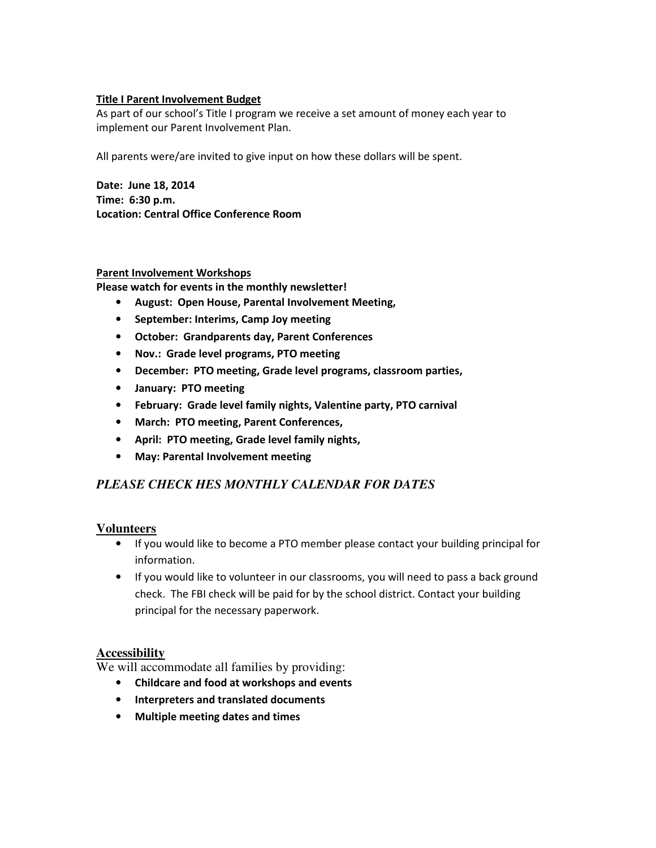#### Title I Parent Involvement Budget

As part of our school's Title I program we receive a set amount of money each year to implement our Parent Involvement Plan.

All parents were/are invited to give input on how these dollars will be spent.

Date: June 18, 2014 Time: 6:30 p.m. Location: Central Office Conference Room

#### Parent Involvement Workshops

Please watch for events in the monthly newsletter!

- August: Open House, Parental Involvement Meeting,
- September: Interims, Camp Joy meeting
- October: Grandparents day, Parent Conferences
- Nov.: Grade level programs, PTO meeting
- December: PTO meeting, Grade level programs, classroom parties,
- January: PTO meeting
- February: Grade level family nights, Valentine party, PTO carnival
- March: PTO meeting, Parent Conferences,
- April: PTO meeting, Grade level family nights,
- May: Parental Involvement meeting

## *PLEASE CHECK HES MONTHLY CALENDAR FOR DATES*

#### **Volunteers**

- If you would like to become a PTO member please contact your building principal for information.
- If you would like to volunteer in our classrooms, you will need to pass a back ground check. The FBI check will be paid for by the school district. Contact your building principal for the necessary paperwork.

#### **Accessibility**

We will accommodate all families by providing:

- Childcare and food at workshops and events
- Interpreters and translated documents
- Multiple meeting dates and times